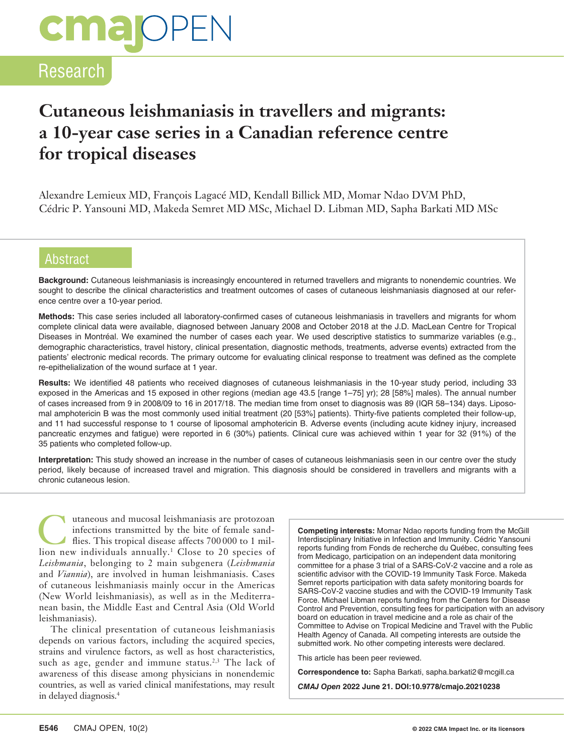# **CMa**OPEN

# Research

# **Cutaneous leishmaniasis in travellers and migrants: a 10‑year case series in a Canadian reference centre for tropical diseases**

Alexandre Lemieux MD, François Lagacé MD, Kendall Billick MD, Momar Ndao DVM PhD, Cédric P. Yansouni MD, Makeda Semret MD MSc, Michael D. Libman MD, Sapha Barkati MD MSc

# **Abstract**

**Background:** Cutaneous leishmaniasis is increasingly encountered in returned travellers and migrants to nonendemic countries. We sought to describe the clinical characteristics and treatment outcomes of cases of cutaneous leishmaniasis diagnosed at our reference centre over a 10-year period.

**Methods:** This case series included all laboratory-confirmed cases of cutaneous leishmaniasis in travellers and migrants for whom complete clinical data were available, diagnosed between January 2008 and October 2018 at the J.D. MacLean Centre for Tropical Diseases in Montréal. We examined the number of cases each year. We used descriptive statistics to summarize variables (e.g., demographic characteristics, travel history, clinical presentation, diagnostic methods, treatments, adverse events) extracted from the patients' electronic medical records. The primary outcome for evaluating clinical response to treatment was defined as the complete re-epithelialization of the wound surface at 1 year.

**Results:** We identified 48 patients who received diagnoses of cutaneous leishmaniasis in the 10-year study period, including 33 exposed in the Americas and 15 exposed in other regions (median age 43.5 [range 1–75] yr); 28 [58%] males). The annual number of cases increased from 9 in 2008/09 to 16 in 2017/18. The median time from onset to diagnosis was 89 (IQR 58–134) days. Liposomal amphotericin B was the most commonly used initial treatment (20 [53%] patients). Thirty-five patients completed their follow-up, and 11 had successful response to 1 course of liposomal amphotericin B. Adverse events (including acute kidney injury, increased pancreatic enzymes and fatigue) were reported in 6 (30%) patients. Clinical cure was achieved within 1 year for 32 (91%) of the 35 patients who completed follow-up.

**Interpretation:** This study showed an increase in the number of cases of cutaneous leishmaniasis seen in our centre over the study period, likely because of increased travel and migration. This diagnosis should be considered in travellers and migrants with a chronic cutaneous lesion.

utaneous and mucosal leishmaniasis are protozoan<br>
infections transmitted by the bite of female sand-<br>
flies. This tropical disease affects 700 000 to 1 mil-<br>
lion new individuals annually <sup>1</sup> Close to 20 species of infections transmitted by the bite of female sandlion new individuals annually.1 Close to 20 species of *Leishmania*, belonging to 2 main subgenera (*Leishmania* and *Viannia*), are involved in human leishmaniasis. Cases of cutaneous leishmaniasis mainly occur in the Americas (New World leishmaniasis), as well as in the Mediterranean basin, the Middle East and Central Asia (Old World leishmaniasis).

The clinical presentation of cutaneous leishmaniasis depends on various factors, including the acquired species, strains and virulence factors, as well as host characteristics, such as age, gender and immune status.<sup>2,3</sup> The lack of awareness of this disease among physicians in nonendemic countries, as well as varied clinical manifestations, may result in delayed diagnosis.4

**Competing interests:** Momar Ndao reports funding from the McGill Interdisciplinary Initiative in Infection and Immunity. Cédric Yansouni reports funding from Fonds de recherche du Québec, consulting fees from Medicago, participation on an independent data monitoring committee for a phase 3 trial of a SARS-CoV-2 vaccine and a role as scientific advisor with the COVID-19 Immunity Task Force. Makeda Semret reports participation with data safety monitoring boards for SARS-CoV-2 vaccine studies and with the COVID-19 Immunity Task Force. Michael Libman reports funding from the Centers for Disease Control and Prevention, consulting fees for participation with an advisory board on education in travel medicine and a role as chair of the Committee to Advise on Tropical Medicine and Travel with the Public Health Agency of Canada. All competing interests are outside the submitted work. No other competing interests were declared.

This article has been peer reviewed.

**Correspondence to:** Sapha Barkati, sapha.barkati2@mcgill.ca

*CMAJ Open* **2022 June 21. DOI:10.9778/cmajo.20210238**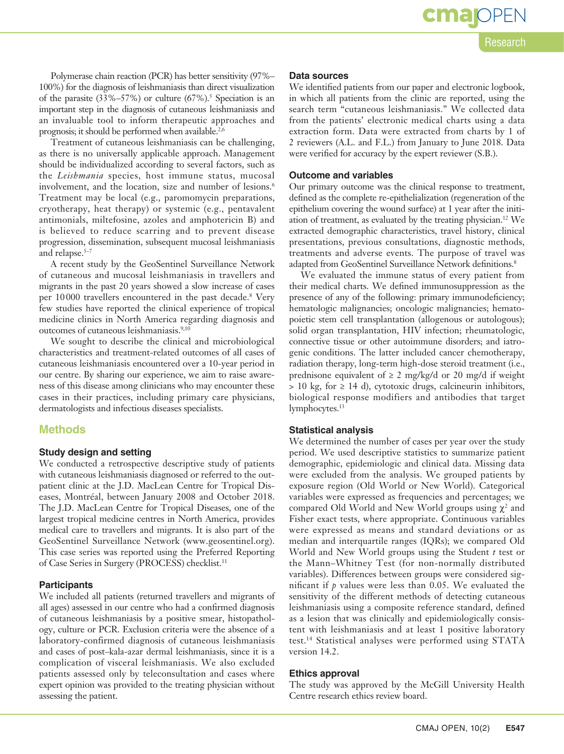Research

cmar

CMAJ OPEN, 10(2) **E547** 

**Data sources**

We identified patients from our paper and electronic logbook, in which all patients from the clinic are reported, using the search term "cutaneous leishmaniasis." We collected data from the patients' electronic medical charts using a data extraction form. Data were extracted from charts by 1 of 2 reviewers (A.L. and F.L.) from January to June 2018. Data were verified for accuracy by the expert reviewer (S.B.).

#### **Outcome and variables**

Our primary outcome was the clinical response to treatment, defined as the complete re-epithelialization (regeneration of the epithelium covering the wound surface) at 1 year after the initiation of treatment, as evaluated by the treating physician.12 We extracted demographic characteristics, travel history, clinical presentations, previous consultations, diagnostic methods, treatments and adverse events. The purpose of travel was adapted from GeoSentinel Surveillance Network definitions.8

We evaluated the immune status of every patient from their medical charts. We defined immunosuppression as the presence of any of the following: primary immunodeficiency; hematologic malignancies; oncologic malignancies; hematopoietic stem cell transplantation (allogenous or autologous); solid organ transplantation, HIV infection; rheumatologic, connective tissue or other autoimmune disorders; and iatrogenic conditions. The latter included cancer chemotherapy, radiation therapy, long-term high-dose steroid treatment (i.e., prednisone equivalent of  $\geq 2$  mg/kg/d or 20 mg/d if weight  $> 10$  kg, for  $\geq 14$  d), cytotoxic drugs, calcineurin inhibitors, biological response modifiers and antibodies that target lymphocytes.<sup>13</sup>

#### **Statistical analysis**

We determined the number of cases per year over the study period. We used descriptive statistics to summarize patient demographic, epidemiologic and clinical data. Missing data were excluded from the analysis. We grouped patients by exposure region (Old World or New World). Categorical variables were expressed as frequencies and percentages; we compared Old World and New World groups using  $\chi^2$  and Fisher exact tests, where appropriate. Continuous variables were expressed as means and standard deviations or as median and interquartile ranges (IQRs); we compared Old World and New World groups using the Student *t* test or the Mann–Whitney Test (for non-normally distributed variables). Differences between groups were considered significant if *p* values were less than 0.05. We evaluated the sensitivity of the different methods of detecting cutaneous leishmaniasis using a composite reference standard, defined as a lesion that was clinically and epidemiologically consistent with leishmaniasis and at least 1 positive laboratory test.14 Statistical analyses were performed using STATA version 14.2.

#### **Ethics approval**

The study was approved by the McGill University Health Centre research ethics review board.

Polymerase chain reaction (PCR) has better sensitivity (97%– 100%) for the diagnosis of leishmaniasis than direct visualization of the parasite  $(33\% - 57\%)$  or culture  $(67\%)$ <sup>5</sup> Speciation is an important step in the diagnosis of cutaneous leishmaniasis and an invaluable tool to inform therapeutic approaches and prognosis; it should be performed when available.<sup>2,6</sup>

Treatment of cutaneous leishmaniasis can be challenging, as there is no universally applicable approach. Management should be individualized according to several factors, such as the *Leishmania* species, host immune status, mucosal involvement, and the location, size and number of lesions.<sup>6</sup> Treatment may be local (e.g., paromomycin preparations, cryotherapy, heat therapy) or systemic (e.g., pentavalent antimonials, miltefosine, azoles and amphotericin B) and is believed to reduce scarring and to prevent disease progression, dissemination, subsequent mucosal leishmaniasis and relapse.<sup>5-7</sup>

A recent study by the GeoSentinel Surveillance Network of cutaneous and mucosal leishmaniasis in travellers and migrants in the past 20 years showed a slow increase of cases per 10000 travellers encountered in the past decade.8 Very few studies have reported the clinical experience of tropical medicine clinics in North America regarding diagnosis and outcomes of cutaneous leishmaniasis.<sup>9,10</sup>

We sought to describe the clinical and microbiological characteristics and treatment-related outcomes of all cases of cutaneous leishmaniasis encountered over a 10-year period in our centre. By sharing our experience, we aim to raise awareness of this disease among clinicians who may encounter these cases in their practices, including primary care physicians, dermatologists and infectious diseases specialists.

### **Methods**

#### **Study design and setting**

We conducted a retrospective descriptive study of patients with cutaneous leishmaniasis diagnosed or referred to the outpatient clinic at the J.D. MacLean Centre for Tropical Diseases, Montréal, between January 2008 and October 2018. The J.D. MacLean Centre for Tropical Diseases, one of the largest tropical medicine centres in North America, provides medical care to travellers and migrants. It is also part of the GeoSentinel Surveillance Network (www.geosentinel.org). This case series was reported using the Preferred Reporting of Case Series in Surgery (PROCESS) checklist.11

#### **Participants**

We included all patients (returned travellers and migrants of all ages) assessed in our centre who had a confirmed diagnosis of cutaneous leishmaniasis by a positive smear, histopathology, culture or PCR. Exclusion criteria were the absence of a laboratory-confirmed diagnosis of cutaneous leishmaniasis and cases of post–kala-azar dermal leishmaniasis, since it is a complication of visceral leishmaniasis. We also excluded patients assessed only by teleconsultation and cases where expert opinion was provided to the treating physician without assessing the patient.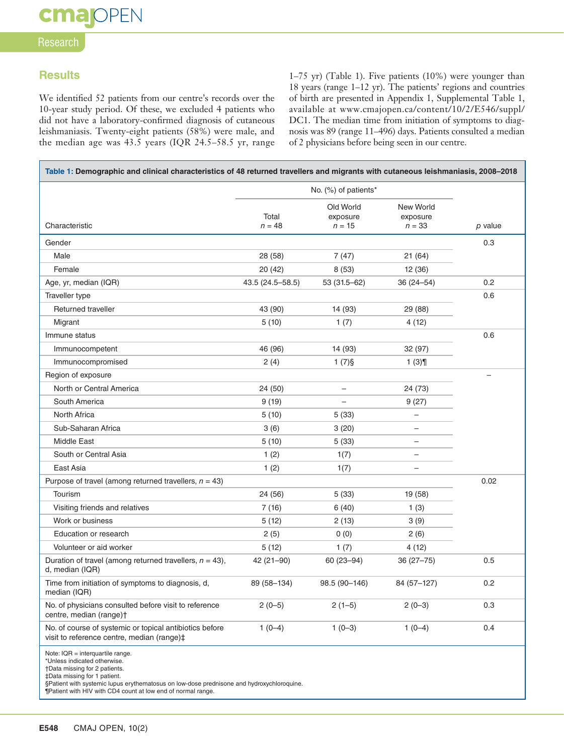# Research

## **Results**

We identified 52 patients from our centre's records over the 10-year study period. Of these, we excluded 4 patients who did not have a laboratory-confirmed diagnosis of cutaneous leishmaniasis. Twenty-eight patients (58%) were male, and the median age was 43.5 years (IQR 24.5–58.5 yr, range

1–75 yr) (Table 1). Five patients (10%) were younger than 18 years (range 1–12 yr). The patients' regions and countries of birth are presented in Appendix 1, Supplemental Table 1, available at www.cmajopen.ca/content/10/2/E546/suppl/ DC1. The median time from initiation of symptoms to diagnosis was 89 (range 11–496) days. Patients consulted a median of 2 physicians before being seen in our centre.

| Table 1: Demographic and clinical characteristics of 48 returned travellers and migrants with cutaneous leishmaniasis, 2008-2018                                                                                                                                                                 |                      |                                   |                                          |         |
|--------------------------------------------------------------------------------------------------------------------------------------------------------------------------------------------------------------------------------------------------------------------------------------------------|----------------------|-----------------------------------|------------------------------------------|---------|
|                                                                                                                                                                                                                                                                                                  | No. (%) of patients* |                                   |                                          |         |
| Characteristic                                                                                                                                                                                                                                                                                   | Total<br>$n = 48$    | Old World<br>exposure<br>$n = 15$ | <b>New World</b><br>exposure<br>$n = 33$ | p value |
| Gender                                                                                                                                                                                                                                                                                           |                      |                                   |                                          | 0.3     |
| Male                                                                                                                                                                                                                                                                                             | 28 (58)              | 7(47)                             | 21(64)                                   |         |
| Female                                                                                                                                                                                                                                                                                           | 20 (42)              | 8(53)                             | 12 (36)                                  |         |
| Age, yr, median (IQR)                                                                                                                                                                                                                                                                            | 43.5 (24.5-58.5)     | 53 (31.5-62)                      | $36(24 - 54)$                            | 0.2     |
| Traveller type                                                                                                                                                                                                                                                                                   |                      |                                   |                                          | 0.6     |
| Returned traveller                                                                                                                                                                                                                                                                               | 43 (90)              | 14 (93)                           | 29 (88)                                  |         |
| Migrant                                                                                                                                                                                                                                                                                          | 5(10)                | 1(7)                              | 4 (12)                                   |         |
| Immune status                                                                                                                                                                                                                                                                                    |                      |                                   |                                          | 0.6     |
| Immunocompetent                                                                                                                                                                                                                                                                                  | 46 (96)              | 14 (93)                           | 32 (97)                                  |         |
| Immunocompromised                                                                                                                                                                                                                                                                                | 2(4)                 | $1(7)\$                           | 1(3)                                     |         |
| Region of exposure                                                                                                                                                                                                                                                                               |                      |                                   |                                          | -       |
| North or Central America                                                                                                                                                                                                                                                                         | 24 (50)              | -                                 | 24 (73)                                  | 0.02    |
| South America                                                                                                                                                                                                                                                                                    | 9(19)                |                                   | 9(27)                                    |         |
| North Africa                                                                                                                                                                                                                                                                                     | 5(10)                | 5(33)                             |                                          |         |
| Sub-Saharan Africa                                                                                                                                                                                                                                                                               | 3(6)                 | 3(20)                             |                                          |         |
| Middle East                                                                                                                                                                                                                                                                                      | 5(10)                | 5(33)                             |                                          |         |
| South or Central Asia                                                                                                                                                                                                                                                                            | 1(2)                 | 1(7)                              |                                          |         |
| East Asia                                                                                                                                                                                                                                                                                        | 1(2)                 | 1(7)                              |                                          |         |
| Purpose of travel (among returned travellers, $n = 43$ )                                                                                                                                                                                                                                         |                      |                                   |                                          |         |
| Tourism                                                                                                                                                                                                                                                                                          | 24 (56)              | 5(33)                             | 19 (58)                                  |         |
| Visiting friends and relatives                                                                                                                                                                                                                                                                   | 7(16)                | 6(40)                             | 1(3)                                     |         |
| Work or business                                                                                                                                                                                                                                                                                 | 5(12)                | 2(13)                             | 3(9)                                     |         |
| Education or research                                                                                                                                                                                                                                                                            | 2(5)                 | 0(0)                              | 2(6)                                     |         |
| Volunteer or aid worker                                                                                                                                                                                                                                                                          | 5(12)                | 1(7)                              | 4(12)                                    |         |
| Duration of travel (among returned travellers, $n = 43$ ),<br>d, median (IQR)                                                                                                                                                                                                                    | $42(21-90)$          | 60 (23-94)                        | $36(27-75)$                              | 0.5     |
| Time from initiation of symptoms to diagnosis, d,<br>median (IQR)                                                                                                                                                                                                                                | 89 (58-134)          | 98.5 (90-146)                     | 84 (57-127)                              | 0.2     |
| No. of physicians consulted before visit to reference<br>centre, median (range)+                                                                                                                                                                                                                 | $2(0-5)$             | $2(1-5)$                          | $2(0-3)$                                 | 0.3     |
| No. of course of systemic or topical antibiotics before<br>visit to reference centre, median (range) $\ddagger$                                                                                                                                                                                  | $1(0-4)$             | $1(0-3)$                          | $1(0-4)$                                 | 0.4     |
| Note: $IQR =$ interquartile range.<br>*Unless indicated otherwise.<br>†Data missing for 2 patients.<br>‡Data missing for 1 patient.<br>§Patient with systemic lupus erythematosus on low-dose prednisone and hydroxychloroquine.<br>¶Patient with HIV with CD4 count at low end of normal range. |                      |                                   |                                          |         |

**E548** CMAJ OPEN, 10(2)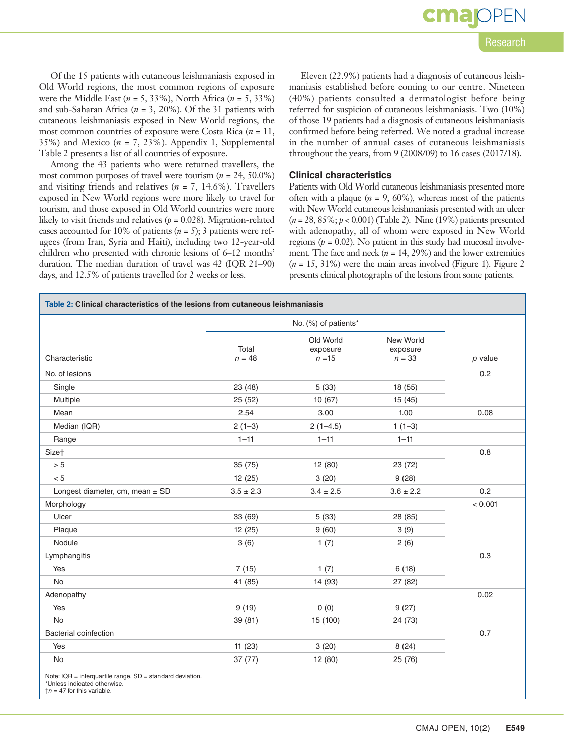cma

Of the 15 patients with cutaneous leishmaniasis exposed in Old World regions, the most common regions of exposure were the Middle East (*n* = 5, 33%), North Africa (*n* = 5, 33%) and sub-Saharan Africa (*n* = 3, 20%). Of the 31 patients with cutaneous leishmaniasis exposed in New World regions, the most common countries of exposure were Costa Rica (*n* = 11, 35%) and Mexico  $(n = 7, 23\%)$ . Appendix 1, Supplemental Table 2 presents a list of all countries of exposure.

Among the 43 patients who were returned travellers, the most common purposes of travel were tourism (*n* = 24, 50.0%) and visiting friends and relatives (*n* = 7, 14.6%). Travellers exposed in New World regions were more likely to travel for tourism, and those exposed in Old World countries were more likely to visit friends and relatives ( $p = 0.028$ ). Migration-related cases accounted for 10% of patients (*n* = 5); 3 patients were refugees (from Iran, Syria and Haiti), including two 12-year-old children who presented with chronic lesions of 6–12 months' duration. The median duration of travel was 42 (IQR 21–90) days, and 12.5% of patients travelled for 2 weeks or less.

Eleven (22.9%) patients had a diagnosis of cutaneous leishmaniasis established before coming to our centre. Nineteen (40%) patients consulted a dermatologist before being referred for suspicion of cutaneous leishmaniasis. Two (10%) of those 19 patients had a diagnosis of cutaneous leishmaniasis confirmed before being referred. We noted a gradual increase in the number of annual cases of cutaneous leishmaniasis throughout the years, from 9 (2008/09) to 16 cases (2017/18).

## **Clinical characteristics**

Patients with Old World cutaneous leishmaniasis presented more often with a plaque  $(n = 9, 60\%)$ , whereas most of the patients with New World cutaneous leishmaniasis presented with an ulcer (*n* = 28, 85%; *p* < 0.001) (Table 2). Nine (19%) patients presented with adenopathy, all of whom were exposed in New World regions ( $p = 0.02$ ). No patient in this study had mucosal involvement. The face and neck (*n* = 14, 29%) and the lower extremities  $(n = 15, 31\%)$  were the main areas involved (Figure 1). Figure 2 presents clinical photographs of the lesions from some patients.

**Table 2: Clinical characteristics of the lesions from cutaneous leishmaniasis**

|                                                               | No. (%) of patients* |                                   |                                   |           |  |
|---------------------------------------------------------------|----------------------|-----------------------------------|-----------------------------------|-----------|--|
| Characteristic                                                | Total<br>$n = 48$    | Old World<br>exposure<br>$n = 15$ | New World<br>exposure<br>$n = 33$ | $p$ value |  |
| No. of lesions                                                |                      |                                   |                                   | 0.2       |  |
| Single                                                        | 23 (48)              | 5(33)                             | 18 (55)                           |           |  |
| Multiple                                                      | 25(52)               | 10(67)                            | 15(45)                            |           |  |
| Mean                                                          | 2.54                 | 3.00                              | 1.00                              | 0.08      |  |
| Median (IQR)                                                  | $2(1-3)$             | $2(1-4.5)$                        | $1(1-3)$                          |           |  |
| Range                                                         | $1 - 11$             | $1 - 11$                          | $1 - 11$                          |           |  |
| Sizet                                                         |                      |                                   |                                   | 0.8       |  |
| > 5                                                           | 35 (75)              | 12 (80)                           | 23 (72)                           |           |  |
| < 5                                                           | 12(25)               | 3(20)                             | 9(28)                             |           |  |
| Longest diameter, cm, mean ± SD                               | $3.5 \pm 2.3$        | $3.4 \pm 2.5$                     | $3.6 \pm 2.2$                     |           |  |
| Morphology                                                    |                      |                                   |                                   | < 0.001   |  |
| Ulcer                                                         | 33 (69)              | 5(33)                             | 28 (85)                           |           |  |
| Plaque                                                        | 12(25)               | 9(60)                             | 3(9)                              |           |  |
| Nodule                                                        | 3(6)                 | 1(7)                              | 2(6)                              |           |  |
| Lymphangitis                                                  |                      |                                   |                                   | 0.3       |  |
| Yes                                                           | 7(15)                | 1(7)                              | 6(18)                             |           |  |
| No                                                            | 41 (85)              | 14 (93)                           | 27(82)                            |           |  |
| Adenopathy                                                    |                      |                                   |                                   | 0.02      |  |
| Yes                                                           | 9(19)                | 0(0)                              | 9(27)                             |           |  |
| <b>No</b>                                                     | 39(81)               | 15 (100)                          | 24 (73)                           |           |  |
| <b>Bacterial coinfection</b>                                  |                      |                                   |                                   | 0.7       |  |
| Yes                                                           | 11(23)               | 3(20)                             | 8(24)                             |           |  |
| <b>No</b>                                                     | 37(77)               | 12 (80)                           | 25(76)                            |           |  |
| Note: $IQR =$ interquartile range, $SD =$ standard deviation. |                      |                                   |                                   |           |  |

Unless indicated otherwise  *for this variable.*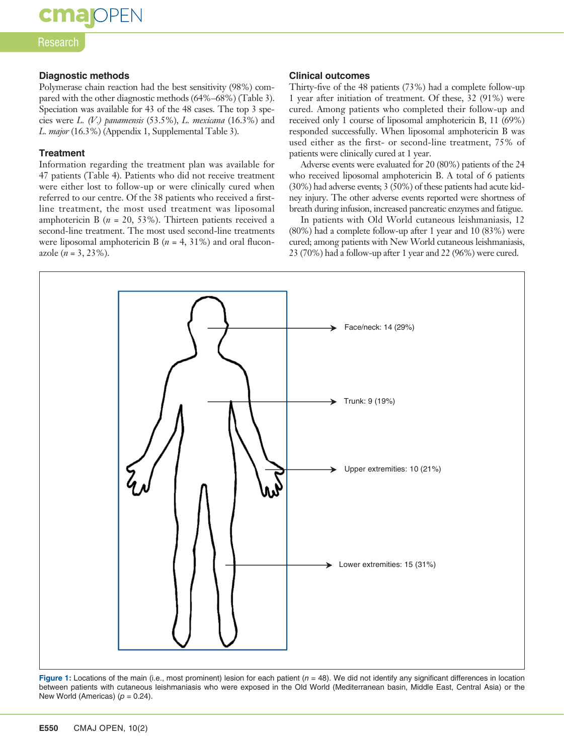**cma**IOPEN

#### Research

#### **Diagnostic methods**

Polymerase chain reaction had the best sensitivity (98%) compared with the other diagnostic methods (64%–68%) (Table 3). Speciation was available for 43 of the 48 cases. The top 3 species were *L. (V.) panamensis* (53.5%), *L. mexicana* (16.3%) and *L. major* (16.3%) (Appendix 1, Supplemental Table 3).

#### **Treatment**

Information regarding the treatment plan was available for 47 patients (Table 4). Patients who did not receive treatment were either lost to follow-up or were clinically cured when referred to our centre. Of the 38 patients who received a firstline treatment, the most used treatment was liposomal amphotericin B (*n* = 20, 53%). Thirteen patients received a second-line treatment. The most used second-line treatments were liposomal amphotericin B (*n* = 4, 31%) and oral fluconazole  $(n = 3, 23\%)$ .

#### **Clinical outcomes**

Thirty-five of the 48 patients (73%) had a complete follow-up 1 year after initiation of treatment. Of these, 32 (91%) were cured. Among patients who completed their follow-up and received only 1 course of liposomal amphotericin B, 11 (69%) responded successfully. When liposomal amphotericin B was used either as the first- or second-line treatment, 75% of patients were clinically cured at 1 year.

Adverse events were evaluated for 20 (80%) patients of the 24 who received liposomal amphotericin B. A total of 6 patients (30%) had adverse events; 3 (50%) of these patients had acute kidney injury. The other adverse events reported were shortness of breath during infusion, increased pancreatic enzymes and fatigue.

In patients with Old World cutaneous leishmaniasis, 12 (80%) had a complete follow-up after 1 year and 10 (83%) were cured; among patients with New World cutaneous leishmaniasis, 23 (70%) had a follow-up after 1 year and 22 (96%) were cured.



**Figure 1:** Locations of the main (i.e., most prominent) lesion for each patient (*n* = 48). We did not identify any significant differences in location between patients with cutaneous leishmaniasis who were exposed in the Old World (Mediterranean basin, Middle East, Central Asia) or the New World (Americas)  $(p = 0.24)$ .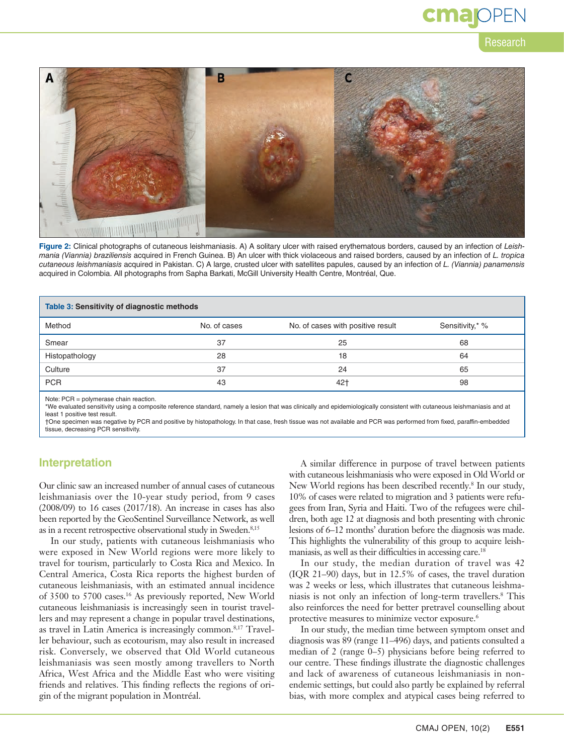

**Figure 2:** Clinical photographs of cutaneous leishmaniasis. A) A solitary ulcer with raised erythematous borders, caused by an infection of *Leishmania (Viannia) braziliensis* acquired in French Guinea. B) An ulcer with thick violaceous and raised borders, caused by an infection of *L. tropica cutaneous leishmaniasis* acquired in Pakistan. C) A large, crusted ulcer with satellites papules, caused by an infection of *L. (Viannia) panamensis* acquired in Colombia. All photographs from Sapha Barkati, McGill University Health Centre, Montréal, Que.

| Table 3: Sensitivity of diagnostic methods |              |                                   |                 |  |
|--------------------------------------------|--------------|-----------------------------------|-----------------|--|
| Method                                     | No. of cases | No. of cases with positive result | Sensitivity,* % |  |
| Smear                                      | 37           | 25                                | 68              |  |
| Histopathology                             | 28           | 18                                | 64              |  |
| Culture                                    | 37           | 24                                | 65              |  |
| <b>PCR</b>                                 | 43           | $42+$                             | 98              |  |
|                                            |              |                                   |                 |  |

Note: PCR = polymerase chain reaction.

\*We evaluated sensitivity using a composite reference standard, namely a lesion that was clinically and epidemiologically consistent with cutaneous leishmaniasis and at least 1 positive test result.

†One specimen was negative by PCR and positive by histopathology. In that case, fresh tissue was not available and PCR was performed from fixed, paraffin-embedded tissue, decreasing PCR sensitivity.

### **Interpretation**

Our clinic saw an increased number of annual cases of cutaneous leishmaniasis over the 10-year study period, from 9 cases (2008/09) to 16 cases (2017/18). An increase in cases has also been reported by the GeoSentinel Surveillance Network, as well as in a recent retrospective observational study in Sweden.<sup>8,15</sup>

In our study, patients with cutaneous leishmaniasis who were exposed in New World regions were more likely to travel for tourism, particularly to Costa Rica and Mexico. In Central America, Costa Rica reports the highest burden of cutaneous leishmaniasis, with an estimated annual incidence of 3500 to 5700 cases.16 As previously reported, New World cutaneous leishmaniasis is increasingly seen in tourist travellers and may represent a change in popular travel destinations, as travel in Latin America is increasingly common.8,17 Traveller behaviour, such as ecotourism, may also result in increased risk. Conversely, we observed that Old World cutaneous leishmaniasis was seen mostly among travellers to North Africa, West Africa and the Middle East who were visiting friends and relatives. This finding reflects the regions of origin of the migrant population in Montréal.

A similar difference in purpose of travel between patients with cutaneous leishmaniasis who were exposed in Old World or New World regions has been described recently.<sup>8</sup> In our study, 10% of cases were related to migration and 3 patients were refugees from Iran, Syria and Haiti. Two of the refugees were children, both age 12 at diagnosis and both presenting with chronic lesions of 6–12 months' duration before the diagnosis was made. This highlights the vulnerability of this group to acquire leishmaniasis, as well as their difficulties in accessing care.<sup>18</sup>

In our study, the median duration of travel was 42 (IQR 21–90) days, but in 12.5% of cases, the travel duration was 2 weeks or less, which illustrates that cutaneous leishmaniasis is not only an infection of long-term travellers.8 This also reinforces the need for better pretravel counselling about protective measures to minimize vector exposure.<sup>6</sup>

In our study, the median time between symptom onset and diagnosis was 89 (range 11–496) days, and patients consulted a median of 2 (range 0–5) physicians before being referred to our centre. These findings illustrate the diagnostic challenges and lack of awareness of cutaneous leishmaniasis in nonendemic settings, but could also partly be explained by referral bias, with more complex and atypical cases being referred to

Research

cmar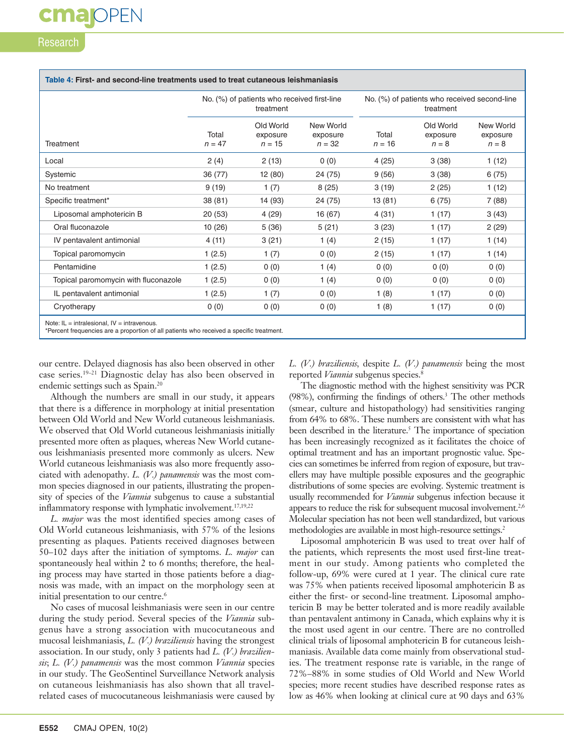## Research

|                                      | No. (%) of patients who received first-line<br>treatment |                                   | No. (%) of patients who received second-line<br>treatment |                   |                                  |                                  |
|--------------------------------------|----------------------------------------------------------|-----------------------------------|-----------------------------------------------------------|-------------------|----------------------------------|----------------------------------|
| Treatment                            | Total<br>$n = 47$                                        | Old World<br>exposure<br>$n = 15$ | New World<br>exposure<br>$n = 32$                         | Total<br>$n = 16$ | Old World<br>exposure<br>$n = 8$ | New World<br>exposure<br>$n = 8$ |
| Local                                | 2(4)                                                     | 2(13)                             | 0(0)                                                      | 4(25)             | 3(38)                            | 1(12)                            |
| Systemic                             | 36 (77)                                                  | 12 (80)                           | 24 (75)                                                   | 9(56)             | 3(38)                            | 6(75)                            |
| No treatment                         | 9(19)                                                    | 1(7)                              | 8(25)                                                     | 3(19)             | 2(25)                            | 1(12)                            |
| Specific treatment*                  | 38 (81)                                                  | 14 (93)                           | 24 (75)                                                   | 13(81)            | 6(75)                            | 7(88)                            |
| Liposomal amphotericin B             | 20(53)                                                   | 4(29)                             | 16 (67)                                                   | 4(31)             | 1(17)                            | 3(43)                            |
| Oral fluconazole                     | 10(26)                                                   | 5(36)                             | 5(21)                                                     | 3(23)             | 1(17)                            | 2(29)                            |
| IV pentavalent antimonial            | 4(11)                                                    | 3(21)                             | 1(4)                                                      | 2(15)             | 1(17)                            | 1(14)                            |
| Topical paromomycin                  | 1(2.5)                                                   | 1(7)                              | 0(0)                                                      | 2(15)             | 1(17)                            | 1(14)                            |
| Pentamidine                          | 1(2.5)                                                   | 0(0)                              | 1 $(4)$                                                   | 0(0)              | 0(0)                             | 0(0)                             |
| Topical paromomycin with fluconazole | 1(2.5)                                                   | 0(0)                              | 1(4)                                                      | 0(0)              | 0(0)                             | 0(0)                             |
| IL pentavalent antimonial            | 1(2.5)                                                   | 1(7)                              | 0(0)                                                      | 1(8)              | 1(17)                            | 0(0)                             |
| Cryotherapy                          | 0(0)                                                     | 0(0)                              | 0(0)                                                      | 1(8)              | 1(17)                            | 0(0)                             |

\*Percent frequencies are a proportion of all patients who received a specific treatment.

our centre. Delayed diagnosis has also been observed in other case series.19–21 Diagnostic delay has also been observed in endemic settings such as Spain.20

Although the numbers are small in our study, it appears that there is a difference in morphology at initial presentation between Old World and New World cutaneous leishmaniasis. We observed that Old World cutaneous leishmaniasis initially presented more often as plaques, whereas New World cutaneous leishmaniasis presented more commonly as ulcers. New World cutaneous leishmaniasis was also more frequently associated with adenopathy. *L. (V.) panamensis* was the most common species diagnosed in our patients, illustrating the propensity of species of the *Viannia* subgenus to cause a substantial inflammatory response with lymphatic involvement.<sup>17,19,22</sup>

*L. major* was the most identified species among cases of Old World cutaneous leishmaniasis, with 57% of the lesions presenting as plaques. Patients received diagnoses between 50–102 days after the initiation of symptoms. *L. major* can spontaneously heal within 2 to 6 months; therefore, the healing process may have started in those patients before a diagnosis was made, with an impact on the morphology seen at initial presentation to our centre.<sup>6</sup>

No cases of mucosal leishmaniasis were seen in our centre during the study period. Several species of the *Viannia* subgenus have a strong association with mucocutaneous and mucosal leishmaniasis, *L. (V.) braziliensis* having the strongest association. In our study, only 3 patients had *L. (V.) braziliensis*; *L. (V.) panamensis* was the most common *Viannia* species in our study. The GeoSentinel Surveillance Network analysis on cutaneous leishmaniasis has also shown that all travelrelated cases of mucocutaneous leishmaniasis were caused by

*L. (V.) braziliensis,* despite *L. (V.) panamensis* being the most reported *Viannia* subgenus species.<sup>8</sup>

The diagnostic method with the highest sensitivity was PCR (98%), confirming the findings of others.3 The other methods (smear, culture and histopathology) had sensitivities ranging from 64% to 68%. These numbers are consistent with what has been described in the literature.<sup>5</sup> The importance of speciation has been increasingly recognized as it facilitates the choice of optimal treatment and has an important prognostic value. Species can sometimes be inferred from region of exposure, but travellers may have multiple possible exposures and the geographic distributions of some species are evolving. Systemic treatment is usually recommended for *Viannia* subgenus infection because it appears to reduce the risk for subsequent mucosal involvement.<sup>2,6</sup> Molecular speciation has not been well standardized, but various methodologies are available in most high-resource settings.<sup>2</sup>

Liposomal amphotericin B was used to treat over half of the patients, which represents the most used first-line treatment in our study. Among patients who completed the follow-up, 69% were cured at 1 year. The clinical cure rate was 75% when patients received liposomal amphotericin B as either the first- or second-line treatment. Liposomal amphotericin B may be better tolerated and is more readily available than pentavalent antimony in Canada, which explains why it is the most used agent in our centre. There are no controlled clinical trials of liposomal amphotericin B for cutaneous leishmaniasis. Available data come mainly from observational studies. The treatment response rate is variable, in the range of 72%–88% in some studies of Old World and New World species; more recent studies have described response rates as low as 46% when looking at clinical cure at 90 days and 63%